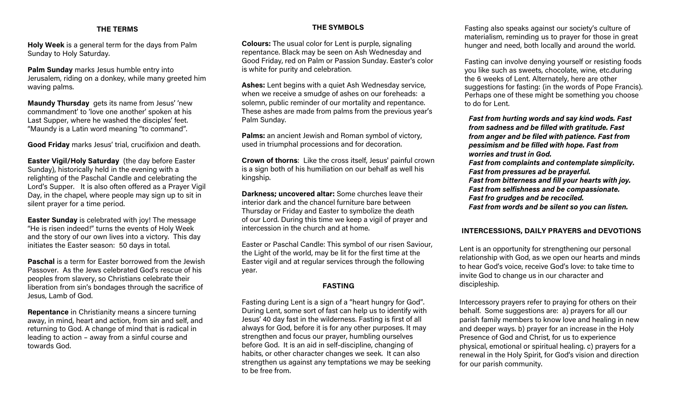# **THE TERMS**

**Holy Week** is a general term for the days from Palm Sunday to Holy Saturday.

**Palm Sunday** marks Jesus humble entry into Jerusalem, riding on a donkey, while many greeted him waving palms.

**Maundy Thursday** gets its name from Jesus' 'new commandment' to 'love one another' spoken at his Last Supper, where he washed the disciples' feet. "Maundy is a Latin word meaning "to command".

**Good Friday** marks Jesus' trial, crucifixion and death.

**Easter Vigil/Holy Saturday** (the day before Easter Sunday), historically held in the evening with a relighting of the Paschal Candle and celebrating the Lord's Supper. It is also often offered as a Prayer Vigil Day, in the chapel, where people may sign up to sit in silent prayer for a time period.

**Easter Sunday** is celebrated with joy! The message "He is risen indeed!" turns the events of Holy Week and the story of our own lives into a victory. This day initiates the Easter season: 50 days in total.

**Paschal** is a term for Easter borrowed from the Jewish Passover. As the Jews celebrated God's rescue of his peoples from slavery, so Christians celebrate their liberation from sin's bondages through the sacrifice of Jesus, Lamb of God.

**Repentance** in Christianity means a sincere turning away, in mind, heart and action, from sin and self, and returning to God. A change of mind that is radical in leading to action – away from a sinful course and towards God.

# **THE SYMBOLS**

**Colours:** The usual color for Lent is purple, signaling repentance. Black may be seen on Ash Wednesday and Good Friday, red on Palm or Passion Sunday. Easter's color is white for purity and celebration.

**Ashes:** Lent begins with a quiet Ash Wednesday service, when we receive a smudge of ashes on our foreheads: a solemn, public reminder of our mortality and repentance. These ashes are made from palms from the previous year's Palm Sunday.

**Palms:** an ancient Jewish and Roman symbol of victory, used in triumphal processions and for decoration.

**Crown of thorns**: Like the cross itself, Jesus' painful crown is a sign both of his humiliation on our behalf as well his kingship.

**Darkness; uncovered altar:** Some churches leave their interior dark and the chancel furniture bare between Thursday or Friday and Easter to symbolize the death of our Lord. During this time we keep a vigil of prayer and intercession in the church and at home.

Easter or Paschal Candle: This symbol of our risen Saviour, the Light of the world, may be lit for the first time at the Easter vigil and at regular services through the following year.

# **FASTING**

Fasting during Lent is a sign of a "heart hungry for God". During Lent, some sort of fast can help us to identify with Jesus' 40 day fast in the wilderness. Fasting is first of all always for God, before it is for any other purposes. It may strengthen and focus our prayer, humbling ourselves before God. It is an aid in self-discipline, changing of habits, or other character changes we seek. It can also strengthen us against any temptations we may be seeking to be free from.

Fasting also speaks against our society's culture of materialism, reminding us to prayer for those in great hunger and need, both locally and around the world.

Fasting can involve denying yourself or resisting foods you like such as sweets, chocolate, wine, etc.during the 6 weeks of Lent. Alternately, here are other suggestions for fasting: (in the words of Pope Francis). Perhaps one of these might be something you choose to do for Lent.

*Fast from hurting words and say kind wods. Fast from sadness and be filled with gratitude. Fast from anger and be filed with patience. Fast from pessimism and be filled with hope. Fast from worries and trust in God. Fast from complaints and contemplate simplicity. Fast from pressures ad be prayerful. Fast from bitterness and fill your hearts with joy. Fast from selfishness and be compassionate. Fast fro grudges and be recociled. Fast from words and be silent so you can listen.* 

# **INTERCESSIONS, DAILY PRAYERS and DEVOTIONS**

Lent is an opportunity for strengthening our personal relationship with God, as we open our hearts and minds to hear God's voice, receive God's love: to take time to invite God to change us in our character and discipleship.

Intercessory prayers refer to praying for others on their behalf. Some suggestions are: a) prayers for all our parish family members to know love and healing in new and deeper ways. b) prayer for an increase in the Holy Presence of God and Christ, for us to experience physical, emotional or spiritual healing. c) prayers for a renewal in the Holy Spirit, for God's vision and direction for our parish community.